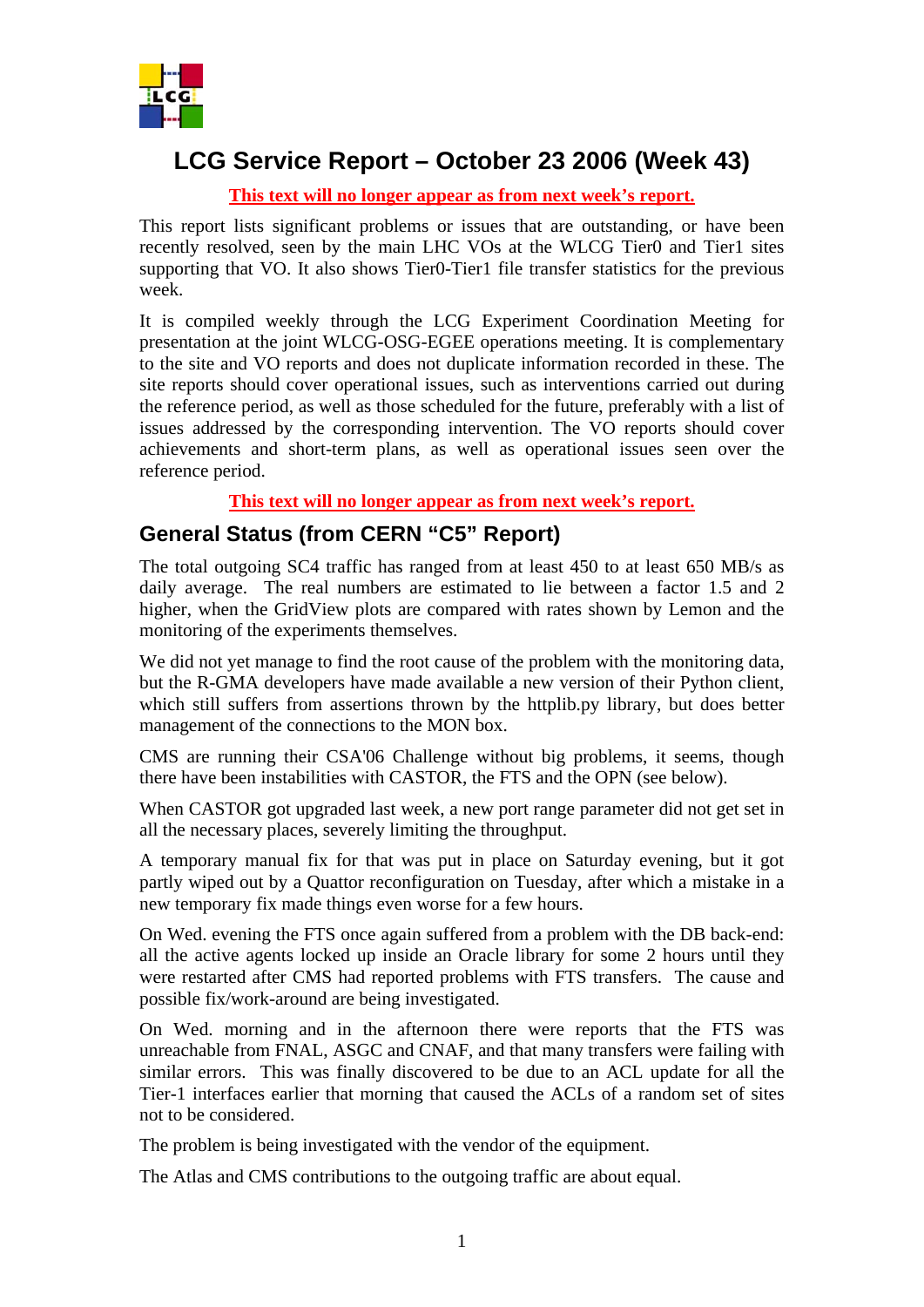

# **LCG Service Report – October 23 2006 (Week 43)**

**This text will no longer appear as from next week's report.**

This report lists significant problems or issues that are outstanding, or have been recently resolved, seen by the main LHC VOs at the WLCG Tier0 and Tier1 sites supporting that VO. It also shows Tier0-Tier1 file transfer statistics for the previous week.

It is compiled weekly through the LCG Experiment Coordination Meeting for presentation at the joint WLCG-OSG-EGEE operations meeting. It is complementary to the site and VO reports and does not duplicate information recorded in these. The site reports should cover operational issues, such as interventions carried out during the reference period, as well as those scheduled for the future, preferably with a list of issues addressed by the corresponding intervention. The VO reports should cover achievements and short-term plans, as well as operational issues seen over the reference period.

**This text will no longer appear as from next week's report.**

### **General Status (from CERN "C5" Report)**

The total outgoing SC4 traffic has ranged from at least 450 to at least 650 MB/s as daily average. The real numbers are estimated to lie between a factor 1.5 and 2 higher, when the GridView plots are compared with rates shown by Lemon and the monitoring of the experiments themselves.

We did not yet manage to find the root cause of the problem with the monitoring data, but the R-GMA developers have made available a new version of their Python client, which still suffers from assertions thrown by the httplib.py library, but does better management of the connections to the MON box.

CMS are running their CSA'06 Challenge without big problems, it seems, though there have been instabilities with CASTOR, the FTS and the OPN (see below).

When CASTOR got upgraded last week, a new port range parameter did not get set in all the necessary places, severely limiting the throughput.

A temporary manual fix for that was put in place on Saturday evening, but it got partly wiped out by a Quattor reconfiguration on Tuesday, after which a mistake in a new temporary fix made things even worse for a few hours.

On Wed. evening the FTS once again suffered from a problem with the DB back-end: all the active agents locked up inside an Oracle library for some 2 hours until they were restarted after CMS had reported problems with FTS transfers. The cause and possible fix/work-around are being investigated.

On Wed. morning and in the afternoon there were reports that the FTS was unreachable from FNAL, ASGC and CNAF, and that many transfers were failing with similar errors. This was finally discovered to be due to an ACL update for all the Tier-1 interfaces earlier that morning that caused the ACLs of a random set of sites not to be considered.

The problem is being investigated with the vendor of the equipment.

The Atlas and CMS contributions to the outgoing traffic are about equal.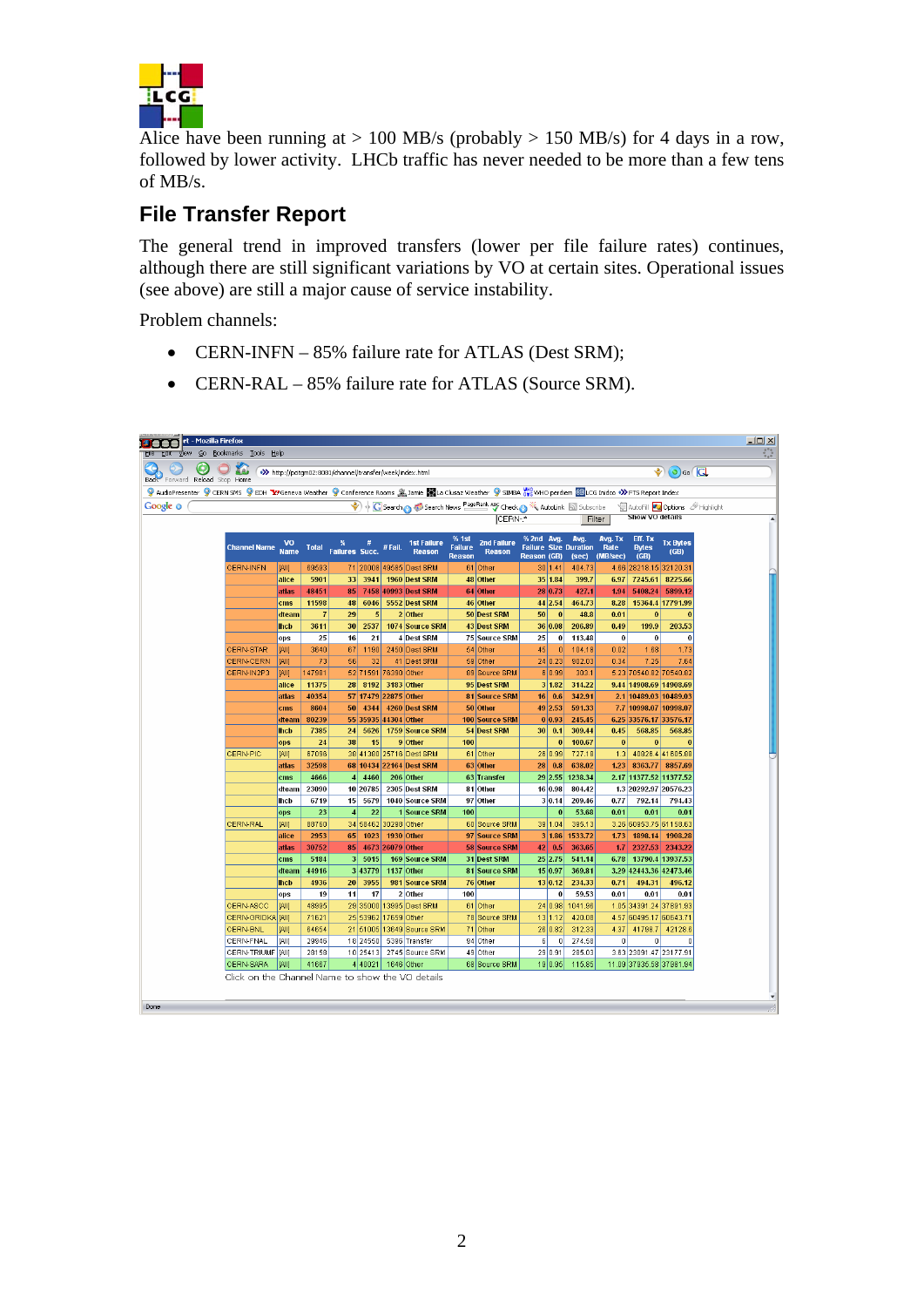

Alice have been running at  $> 100$  MB/s (probably  $> 150$  MB/s) for 4 days in a row, followed by lower activity. LHCb traffic has never needed to be more than a few tens of MB/s.

## **File Transfer Report**

The general trend in improved transfers (lower per file failure rates) continues, although there are still significant variations by VO at certain sites. Operational issues (see above) are still a major cause of service instability.

Problem channels:

- CERN-INFN 85% failure rate for ATLAS (Dest SRM);
- CERN-RAL 85% failure rate for ATLAS (Source SRM).

| $\bigcup$ $X$ a,<br>Back Forward Reload Stop Home                                                                                                       |                                                                                                                                                    |                | >>> http://pcitgm02:8081/channel/transfer/week/index.html |                     |             |                         |                                 |                      |                                                    |         |                  |                         | $\odot$ $\odot$ $\odot$ |
|---------------------------------------------------------------------------------------------------------------------------------------------------------|----------------------------------------------------------------------------------------------------------------------------------------------------|----------------|-----------------------------------------------------------|---------------------|-------------|-------------------------|---------------------------------|----------------------|----------------------------------------------------|---------|------------------|-------------------------|-------------------------|
| 9 AudioPresenter 9 CERN SMS 9 EDH 37 Geneva Weather 9 Conference Rooms 盒Jamie 图1a Clusaz Weather 9 SIMBA 端 UHO perdiem @LCG Inidco •>> FTS Report Index |                                                                                                                                                    |                |                                                           |                     |             |                         |                                 |                      |                                                    |         |                  |                         |                         |
|                                                                                                                                                         |                                                                                                                                                    |                |                                                           |                     |             |                         |                                 |                      |                                                    |         |                  |                         |                         |
|                                                                                                                                                         | G Search & Search News PageRank ABC Check & # AutoLink & Subscribe<br>AutoFill Coptions <b>A</b> Highlight<br>Show VO details<br>ICERN-*<br>Filter |                |                                                           |                     |             |                         |                                 |                      |                                                    |         |                  |                         |                         |
|                                                                                                                                                         |                                                                                                                                                    |                |                                                           |                     |             |                         |                                 |                      |                                                    |         |                  |                         |                         |
|                                                                                                                                                         | VO                                                                                                                                                 |                |                                                           | #                   |             | <b>1st Failure</b>      | % 1st                           | <b>2nd Failure</b>   | % 2nd Avg.                                         | Avg.    | Avg. Tx          | Eff. Tx                 | <b>Tx Bytes</b>         |
| <b>Channel Name</b>                                                                                                                                     | <b>Name</b>                                                                                                                                        | Total          | <b>Failures Succ.</b>                                     |                     | #Fail.      | <b>Reason</b>           | <b>Failure</b><br><b>Reason</b> | <b>Reason</b>        | <b>Failure Size Duration</b><br><b>Reason (GB)</b> | (sec)   | Rate<br>(MB/sec) | <b>Bytes</b><br>(GB)    | (GB)                    |
| <b>CERN-INFN</b>                                                                                                                                        | [All]                                                                                                                                              | 69593          |                                                           |                     |             | 71 20008 49585 Dest SRM |                                 | 61 Other             | 30 1.41                                            | 404.73  |                  | 4.66 28218.15 32120.31  |                         |
|                                                                                                                                                         | alice                                                                                                                                              | 5901           | 33                                                        | 3941                |             | 1960 Dest SRM           |                                 | 48 Other             | 35 1.84                                            | 399.7   | 6.97             | 7245.61                 | 8225.66                 |
|                                                                                                                                                         | atlas                                                                                                                                              | 48451          | 85                                                        |                     |             | 7458 40993 Dest SRM     |                                 | 64 Other             | 28 0.73                                            | 427.1   | 1.94             |                         | 5408.24 5899.12         |
|                                                                                                                                                         | cms                                                                                                                                                | 11598          | 48                                                        | 6046                |             | 5552 Dest SRM           |                                 | 46 Other             | 44 2.54                                            | 464.73  | 8.28             |                         | 15364.4 17791.99        |
|                                                                                                                                                         | dteam                                                                                                                                              | $\overline{7}$ | 29                                                        | 5                   |             | 2 Other                 |                                 | 50 Dest SRM          | 50<br>$\mathbf{0}$                                 | 48.8    | 0.01             | $\bf{0}$                |                         |
|                                                                                                                                                         | lhcb                                                                                                                                               | 3611           | 30                                                        | 2537                |             | 1074 Source SRM         |                                 | 43 Dest SRM          | 36 0.08                                            | 206.89  | 0.49             | 199.9                   | 203.53                  |
|                                                                                                                                                         | ops                                                                                                                                                | 25             | 16                                                        | 21                  |             | 4 Dest SRM              |                                 | <b>75 Source SRM</b> | 25<br>$\bf{0}$                                     | 113.48  | $\bf{0}$         | $\bf{0}$                | $\bf{0}$                |
| <b>CERN-STAR</b>                                                                                                                                        | [All]                                                                                                                                              | 3640           | 67                                                        | 1190                |             | 2450 Dest SRM           |                                 | 54 Other             | 45<br>$\bf{0}$                                     | 104.18  | 0.02             | 1.68                    | 1.73                    |
| <b>CERN-CERN</b>                                                                                                                                        | <b>JAIN</b>                                                                                                                                        | 73             | 56                                                        | 32                  |             | 41 Dest SRM             |                                 | 59 Other             | 24 0.23                                            | 902.03  | 0.34             | 7.25                    | 7.64                    |
| CERN-IN2P3                                                                                                                                              | [All]                                                                                                                                              | 147981         |                                                           | 52 71591            | 76390 Other |                         |                                 | 89 Source SRM        | 6 0.99                                             | 303.1   |                  | 5.23 70540.82 70540.82  |                         |
|                                                                                                                                                         | alice                                                                                                                                              | 11375          | 28                                                        | 8192                |             | 3183 Other              |                                 | 95 Dest SRM          | 3 1.82                                             | 314.22  |                  | 9.44 14908.69 14908.69  |                         |
|                                                                                                                                                         | atlas                                                                                                                                              | 40354          |                                                           | 57 17479            | 22875 Other |                         |                                 | <b>81 Source SRM</b> | 16 0.6                                             | 342.91  |                  | 2.1 10489.03 10489.03   |                         |
|                                                                                                                                                         | cms                                                                                                                                                | 8604           | 50                                                        | 4344                |             | 4260 Dest SRM           |                                 | 50 Other             | 49 2.53                                            | 591.33  |                  | 7.7 10998.07 10998.07   |                         |
|                                                                                                                                                         | dteam                                                                                                                                              | 80239          |                                                           | 55 35935            | 44304 Other |                         |                                 | 100 Source SRM       | 0 0.93                                             | 245.45  |                  | 6.25 33576.17 33576.17  |                         |
|                                                                                                                                                         | <b>lhcb</b>                                                                                                                                        | 7385           | 24                                                        | 5626                |             | 1759 Source SRM         |                                 | 54 Dest SRM          | 30   0.1                                           | 309.44  | 0.45             | 568.85                  | 568.85                  |
|                                                                                                                                                         | ops                                                                                                                                                | 24             | 38                                                        | 15                  |             | 9 Other                 | 100                             |                      | $\bf{0}$                                           | 100.67  | $\bf{0}$         | $\bf{0}$                | O                       |
| <b>CERN-PIC</b>                                                                                                                                         | [All]                                                                                                                                              | 67096          |                                                           |                     |             | 38 41380 25716 Dest SRM |                                 | 61 Other             | 26 0.99                                            | 727.18  | 1.3              |                         | 40826.4 41605.88        |
|                                                                                                                                                         | atlas                                                                                                                                              | 32598          |                                                           |                     |             | 68 10434 22164 Dest SRM |                                 | 63 Other             | 28 0.8                                             | 638.02  | 1.23             |                         | 8363.77 8857.69         |
|                                                                                                                                                         | cms                                                                                                                                                | 4666           | $\vert$                                                   | 4460                |             | 206 Other               |                                 | 63 Transfer          | 29 2.55                                            | 1238.34 |                  | 2.17 11377.52 11377.52  |                         |
|                                                                                                                                                         | dteam                                                                                                                                              | 23090          |                                                           | 10 20785            |             | 2305 Dest SRM           |                                 | 81 Other             | 16 0.98                                            | 804.42  |                  | 1.3 20292.97 20576.23   |                         |
|                                                                                                                                                         | lhcb                                                                                                                                               | 6719           | 15                                                        | 5679                |             | 1040 Source SRM         |                                 | 97 Other             | 3 0.14                                             | 209.46  | 0.77             | 792.14                  | 794.43                  |
|                                                                                                                                                         | ops                                                                                                                                                | 23             | $\overline{4}$                                            | 22                  |             | 1 Source SRM            | 100                             |                      | $\bf{0}$                                           | 53.68   | 0.01             | 0.01                    | 0.01                    |
| <b>CERN-RAL</b>                                                                                                                                         | <b>JAII</b>                                                                                                                                        | 88760          |                                                           | 34 58462            | 30298 Other |                         |                                 | 60 Source SRM        | 39 1.04                                            | 395.13  |                  | 3.26 60953.75 61158.63  |                         |
|                                                                                                                                                         | alice                                                                                                                                              | 2953           | 65                                                        | 1023                |             | 1930 Other              |                                 | 97 Source SRM        | 3 1.86                                             | 1533.72 | 1.73             |                         | 1898.14 1908.28         |
|                                                                                                                                                         | atlas                                                                                                                                              | 30752          |                                                           | 85 4673 26079 Other |             |                         |                                 | <b>58 Source SRM</b> | $42 \mid 0.5$                                      | 363.65  | 1.7              |                         | 2327.53 2343.22         |
|                                                                                                                                                         | cms                                                                                                                                                | 5184           |                                                           | 3 5015              |             | 169 Source SRM          |                                 | 31 Dest SRM          | 25 2.75                                            | 541.14  |                  | 6.78 13790.4 13937.53   |                         |
|                                                                                                                                                         | dteam                                                                                                                                              | 44916          |                                                           | 3 43779             |             | 1137 Other              |                                 | 81 Source SRM        | 15 0.97                                            | 369.81  |                  | 3.29 42443.36 42473.46  |                         |
|                                                                                                                                                         | <b>lhcb</b>                                                                                                                                        | 4936           | 20 <sub>1</sub>                                           | 3955                |             | 981 Source SRM          |                                 | 76 Other             | 13 0.12                                            | 234.33  | 0.71             | 494.31                  | 496.12                  |
|                                                                                                                                                         | ops                                                                                                                                                | 19             | 11                                                        | 17                  |             | 2 Other                 | 100                             |                      | 0                                                  | 59.53   | 0.01             | 0.01                    | 0.01                    |
| CERN-ASCC                                                                                                                                               | [All]                                                                                                                                              | 48995          |                                                           |                     |             | 29 35000 13995 Dest SRM |                                 | 61 Other             | 24 0.98                                            | 1041.96 |                  | 1.05 34391.24 37891.93  |                         |
| CERN-GRIDKA [AII]                                                                                                                                       |                                                                                                                                                    | 71621          |                                                           | 25 53962            | 17659 Other |                         |                                 | 78 Source SRM        | 13 1.12                                            | 420.08  |                  | 4.57 60495.17 60643.71  |                         |
| <b>CERN-BNL</b>                                                                                                                                         | [All]                                                                                                                                              | 64654          |                                                           | 21 51005            |             | 13649 Source SRM        |                                 | 71 Other             | 26 0.82                                            | 312.33  | 4.37             |                         | 41798.7 42128.6         |
| CERN-FNAL                                                                                                                                               | [All]                                                                                                                                              | 29946          |                                                           | 18 24550            |             | 5396 Transfer           |                                 | 94 Other             | 6<br>$\overline{0}$                                | 274.58  | $\overline{0}$   | $\overline{0}$          | $\Omega$                |
| CERN-TRIUMF [AII]                                                                                                                                       |                                                                                                                                                    | 28158          |                                                           | 10 25413            |             | 2745 Source SRM         |                                 | 49 Other             | 29 0.91                                            | 285.03  |                  | 3.63 23091.47 23177.91  |                         |
| CERN-SARA<br>Click on the Channel Name to show the VO details                                                                                           | [All]                                                                                                                                              | 41667          |                                                           | 4 40021             |             | 1646 Other              |                                 | 68 Source SRM        | 19 0.95                                            | 115.85  |                  | 11.09 37935.58 37981.94 |                         |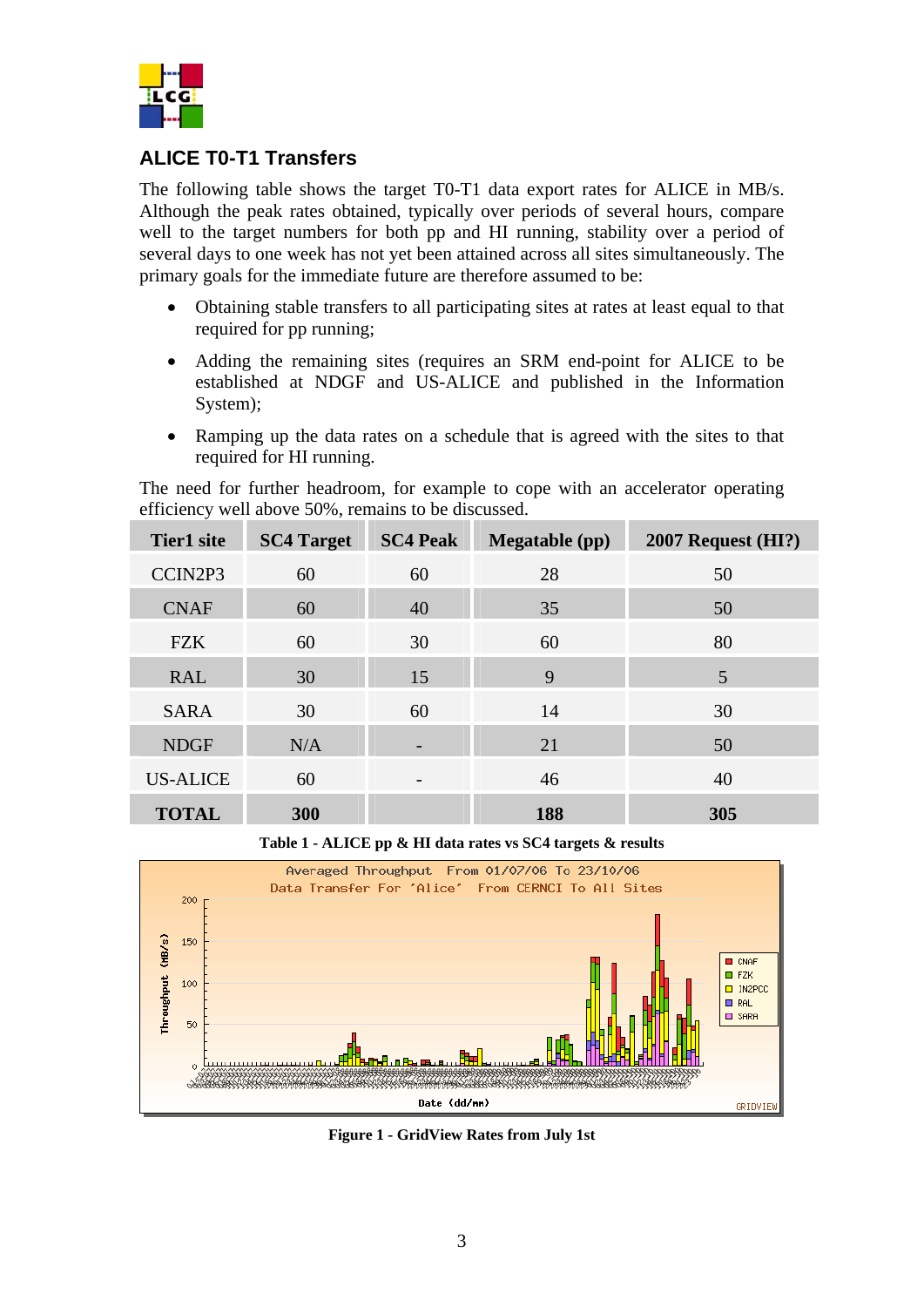

#### **ALICE T0-T1 Transfers**

The following table shows the target T0-T1 data export rates for ALICE in MB/s. Although the peak rates obtained, typically over periods of several hours, compare well to the target numbers for both pp and HI running, stability over a period of several days to one week has not yet been attained across all sites simultaneously. The primary goals for the immediate future are therefore assumed to be:

- Obtaining stable transfers to all participating sites at rates at least equal to that required for pp running;
- Adding the remaining sites (requires an SRM end-point for ALICE to be established at NDGF and US-ALICE and published in the Information System);
- Ramping up the data rates on a schedule that is agreed with the sites to that required for HI running.

The need for further headroom, for example to cope with an accelerator operating efficiency well above 50%, remains to be discussed.

| <b>Tier1</b> site | <b>SC4 Target</b> | <b>SC4 Peak</b> | <b>Megatable</b> (pp) | $2007$ Request (HI?) |
|-------------------|-------------------|-----------------|-----------------------|----------------------|
| CCIN2P3           | 60                | 60              | 28                    | 50                   |
| <b>CNAF</b>       | 60                | 40              | 35                    | 50                   |
| <b>FZK</b>        | 60                | 30              | 60                    | 80                   |
| <b>RAL</b>        | 30                | 15              | 9                     | 5                    |
| <b>SARA</b>       | 30                | 60              | 14                    | 30                   |
| <b>NDGF</b>       | N/A               |                 | 21                    | 50                   |
| <b>US-ALICE</b>   | 60                | $\qquad \qquad$ | 46                    | 40                   |
| <b>TOTAL</b>      | 300               |                 | 188                   | 305                  |

**Table 1 - ALICE pp & HI data rates vs SC4 targets & results** 



**Figure 1 - GridView Rates from July 1st**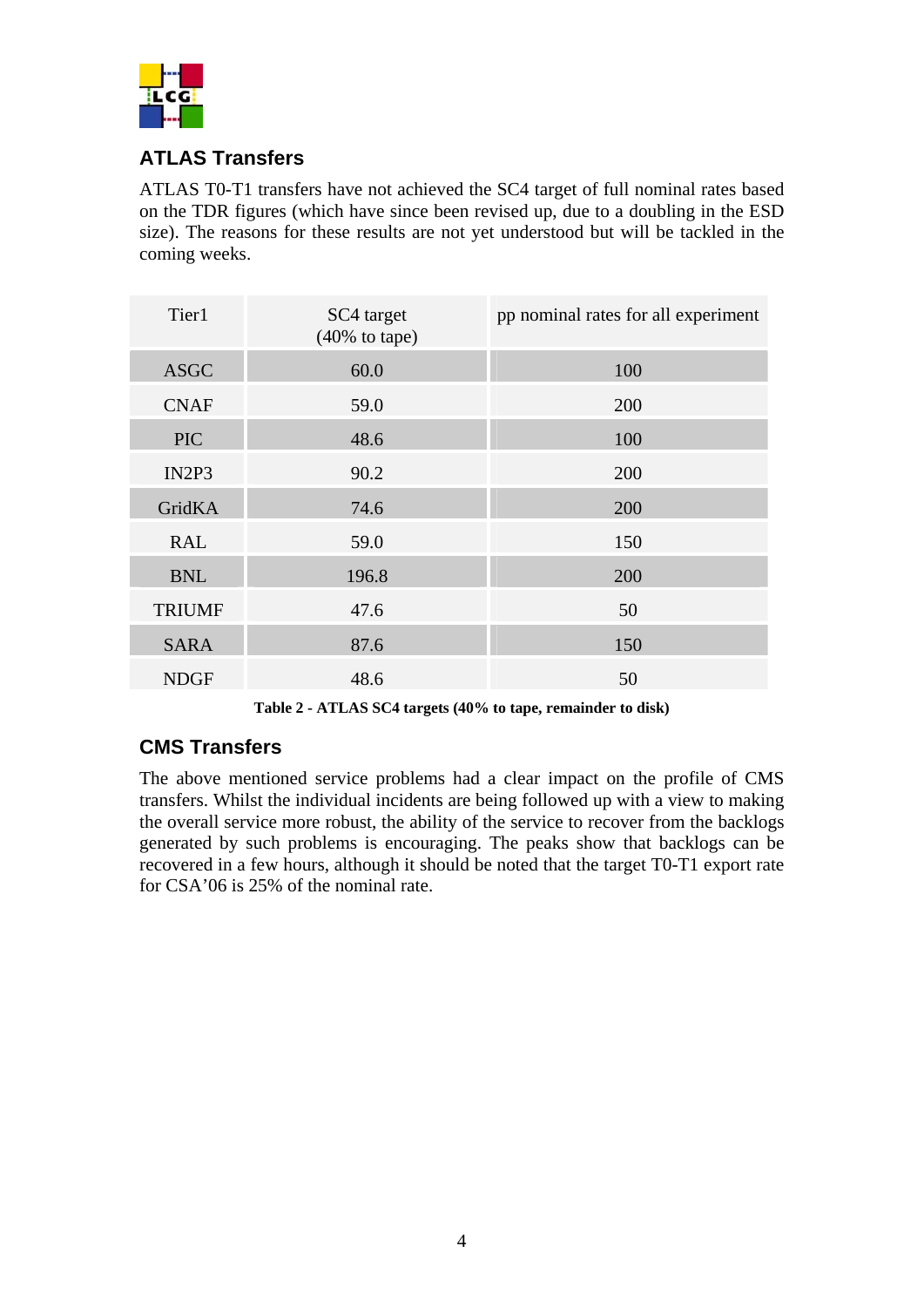

## **ATLAS Transfers**

ATLAS T0-T1 transfers have not achieved the SC4 target of full nominal rates based on the TDR figures (which have since been revised up, due to a doubling in the ESD size). The reasons for these results are not yet understood but will be tackled in the coming weeks.

| Tier1         | SC4 target<br>$(40\% \text{ to tape})$ | pp nominal rates for all experiment |
|---------------|----------------------------------------|-------------------------------------|
| <b>ASGC</b>   | 60.0                                   | 100                                 |
| <b>CNAF</b>   | 59.0                                   | 200                                 |
| <b>PIC</b>    | 48.6                                   | 100                                 |
| IN2P3         | 90.2                                   | 200                                 |
| GridKA        | 74.6                                   | 200                                 |
| <b>RAL</b>    | 59.0                                   | 150                                 |
| <b>BNL</b>    | 196.8                                  | 200                                 |
| <b>TRIUMF</b> | 47.6                                   | 50                                  |
| <b>SARA</b>   | 87.6                                   | 150                                 |
| <b>NDGF</b>   | 48.6                                   | 50                                  |

**Table 2 - ATLAS SC4 targets (40% to tape, remainder to disk)** 

## **CMS Transfers**

The above mentioned service problems had a clear impact on the profile of CMS transfers. Whilst the individual incidents are being followed up with a view to making the overall service more robust, the ability of the service to recover from the backlogs generated by such problems is encouraging. The peaks show that backlogs can be recovered in a few hours, although it should be noted that the target T0-T1 export rate for CSA'06 is 25% of the nominal rate.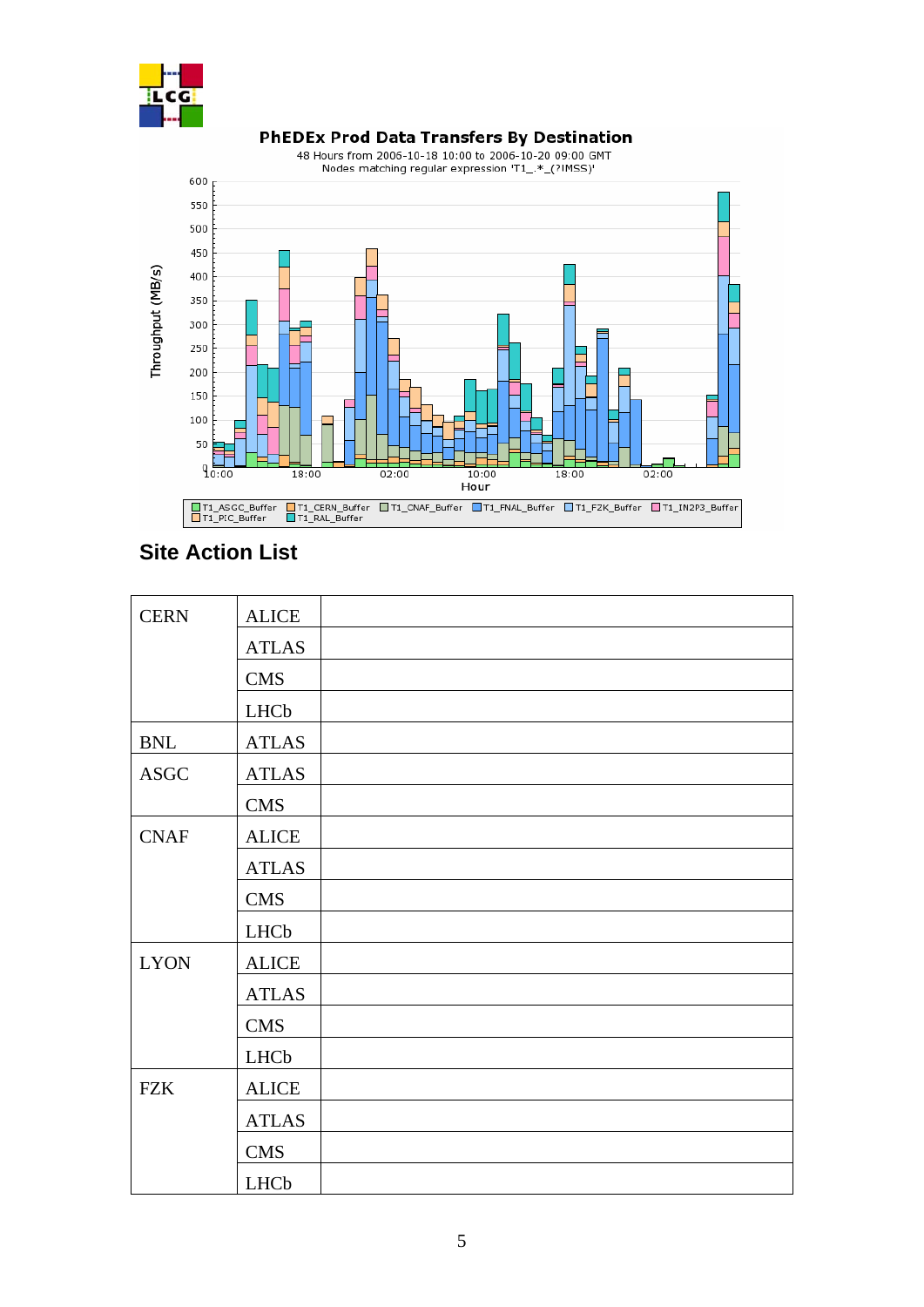



## **Site Action List**

| <b>CERN</b> | <b>ALICE</b> |  |
|-------------|--------------|--|
|             | <b>ATLAS</b> |  |
|             | <b>CMS</b>   |  |
|             | LHCb         |  |
| <b>BNL</b>  | <b>ATLAS</b> |  |
| <b>ASGC</b> | <b>ATLAS</b> |  |
|             | <b>CMS</b>   |  |
| <b>CNAF</b> | <b>ALICE</b> |  |
|             | <b>ATLAS</b> |  |
|             | <b>CMS</b>   |  |
|             | LHCb         |  |
| <b>LYON</b> | <b>ALICE</b> |  |
|             | <b>ATLAS</b> |  |
|             | <b>CMS</b>   |  |
|             | LHCb         |  |
| <b>FZK</b>  | <b>ALICE</b> |  |
|             | <b>ATLAS</b> |  |
|             | <b>CMS</b>   |  |
|             | LHCb         |  |